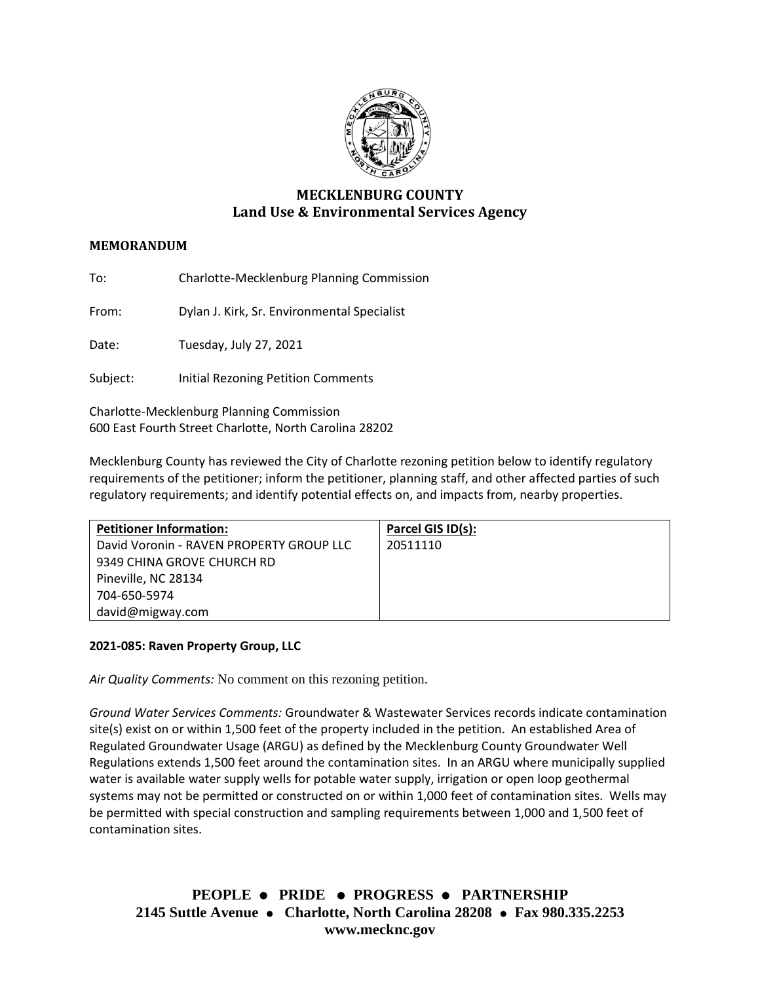

# **MECKLENBURG COUNTY Land Use & Environmental Services Agency**

## **MEMORANDUM**

To: Charlotte-Mecklenburg Planning Commission

From: Dylan J. Kirk, Sr. Environmental Specialist

Date: Tuesday, July 27, 2021

Subject: Initial Rezoning Petition Comments

Charlotte-Mecklenburg Planning Commission 600 East Fourth Street Charlotte, North Carolina 28202

Mecklenburg County has reviewed the City of Charlotte rezoning petition below to identify regulatory requirements of the petitioner; inform the petitioner, planning staff, and other affected parties of such regulatory requirements; and identify potential effects on, and impacts from, nearby properties.

| <b>Petitioner Information:</b>           | Parcel GIS ID(s): |
|------------------------------------------|-------------------|
| David Voronin - RAVEN PROPERTY GROUP LLC | 20511110          |
| 9349 CHINA GROVE CHURCH RD               |                   |
| Pineville, NC 28134                      |                   |
| 704-650-5974                             |                   |
| david@migway.com                         |                   |

#### **2021-085: Raven Property Group, LLC**

*Air Quality Comments:* No comment on this rezoning petition.

*Ground Water Services Comments:* Groundwater & Wastewater Services records indicate contamination site(s) exist on or within 1,500 feet of the property included in the petition. An established Area of Regulated Groundwater Usage (ARGU) as defined by the Mecklenburg County Groundwater Well Regulations extends 1,500 feet around the contamination sites. In an ARGU where municipally supplied water is available water supply wells for potable water supply, irrigation or open loop geothermal systems may not be permitted or constructed on or within 1,000 feet of contamination sites. Wells may be permitted with special construction and sampling requirements between 1,000 and 1,500 feet of contamination sites.

**PEOPLE** ⚫ **PRIDE** ⚫ **PROGRESS** ⚫ **PARTNERSHIP 2145 Suttle Avenue** ⚫ **Charlotte, North Carolina 28208** ⚫ **Fax 980.335.2253 www.mecknc.gov**